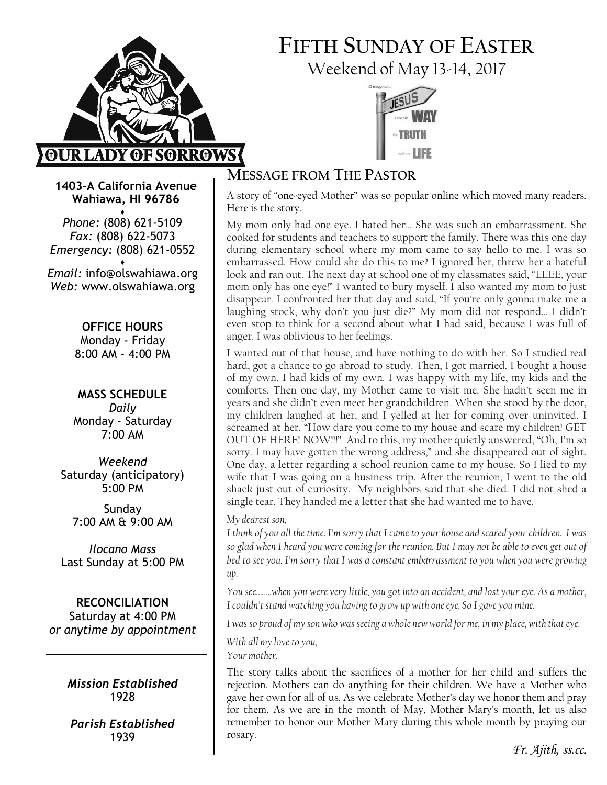

# FIFTH SUNDAY OF EASTER Weekend of May 13-14, 2017



1403-A California Avenue Wahiawa, HI 96786

♦ Phone: (808) 621-5109 Fax: (808) 622-5073 Emergency: (808) 621-0552

♦ Email: info@olswahiawa.org Web: www.olswahiawa.org

> OFFICE HOURS Monday - Friday 8:00 AM - 4:00 PM

MASS SCHEDULE Daily Monday - Saturday 7:00 AM

Weekend Saturday (anticipatory) 5:00 PM

Sunday 7:00 AM & 9:00 AM

Ilocano Mass Last Sunday at 5:00 PM

RECONCILIATION Saturday at 4:00 PM or anytime by appointment

> Mission Established 1928

Parish Established 1939

# MESSAGE FROM THE PASTOR

A story of "one-eyed Mother" was so popular online which moved many readers. Here is the story.

My mom only had one eye. I hated her… She was such an embarrassment. She cooked for students and teachers to support the family. There was this one day during elementary school where my mom came to say hello to me. I was so embarrassed. How could she do this to me? I ignored her, threw her a hateful look and ran out. The next day at school one of my classmates said, "EEEE, your mom only has one eye!" I wanted to bury myself. I also wanted my mom to just disappear. I confronted her that day and said, "If you're only gonna make me a laughing stock, why don't you just die?" My mom did not respond… I didn't even stop to think for a second about what I had said, because I was full of anger. I was oblivious to her feelings.

I wanted out of that house, and have nothing to do with her. So I studied real hard, got a chance to go abroad to study. Then, I got married. I bought a house of my own. I had kids of my own. I was happy with my life, my kids and the comforts. Then one day, my Mother came to visit me. She hadn't seen me in years and she didn't even meet her grandchildren. When she stood by the door, my children laughed at her, and I yelled at her for coming over uninvited. I screamed at her, "How dare you come to my house and scare my children! GET OUT OF HERE! NOW!!!" And to this, my mother quietly answered, "Oh, I'm so sorry. I may have gotten the wrong address," and she disappeared out of sight. One day, a letter regarding a school reunion came to my house. So I lied to my wife that I was going on a business trip. After the reunion, I went to the old shack just out of curiosity. My neighbors said that she died. I did not shed a single tear. They handed me a letter that she had wanted me to have.

#### My dearest son,

I think of you all the time. I'm sorry that I came to your house and scared your children. I was so glad when I heard you were coming for the reunion. But I may not be able to even get out of bed to see you. I'm sorry that I was a constant embarrassment to you when you were growing up.

You see……..when you were very little, you got into an accident, and lost your eye. As a mother, I couldn't stand watching you having to grow up with one eye. So I gave you mine.

I was so proud of my son who was seeing a whole new world for me, in my place, with that eye.

With all my love to you,

Your mother.

The story talks about the sacrifices of a mother for her child and suffers the rejection. Mothers can do anything for their children. We have a Mother who gave her own for all of us. As we celebrate Mother's day we honor them and pray for them. As we are in the month of May, Mother Mary's month, let us also remember to honor our Mother Mary during this whole month by praying our rosary.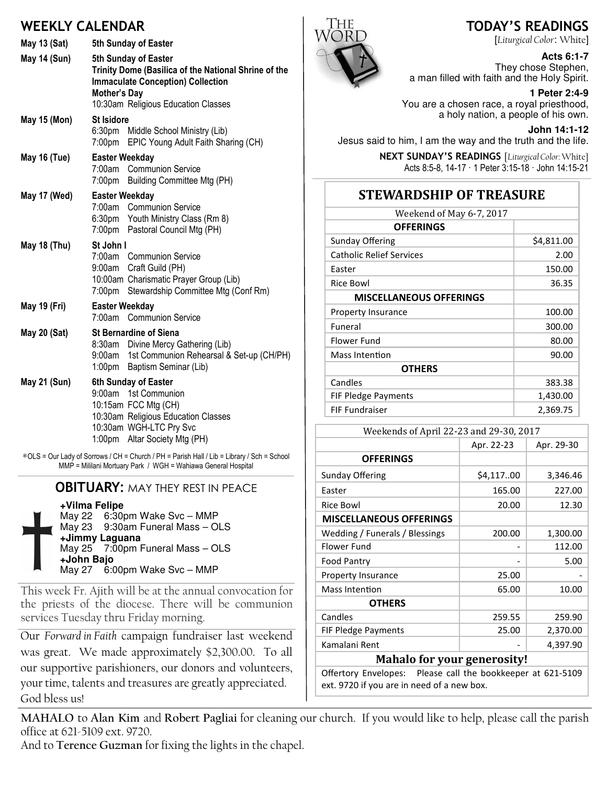# WEEKLY CALENDAR

| May 13 (Sat) | 5th Sunday of Easter                                                                                                                                                                   |  |  |
|--------------|----------------------------------------------------------------------------------------------------------------------------------------------------------------------------------------|--|--|
| May 14 (Sun) | 5th Sunday of Easter<br>Trinity Dome (Basilica of the National Shrine of the<br><b>Immaculate Conception) Collection</b><br><b>Mother's Day</b><br>10:30am Religious Education Classes |  |  |
| May 15 (Mon) | <b>St Isidore</b><br>6:30pm Middle School Ministry (Lib)<br>7:00pm EPIC Young Adult Faith Sharing (CH)                                                                                 |  |  |
| May 16 (Tue) | <b>Easter Weekday</b><br>7:00am Communion Service<br>7:00pm Building Committee Mtg (PH)                                                                                                |  |  |
| May 17 (Wed) | <b>Easter Weekday</b><br>7:00am Communion Service<br>6:30pm Youth Ministry Class (Rm 8)<br>7:00pm Pastoral Council Mtg (PH)                                                            |  |  |
| May 18 (Thu) | St John I<br>7:00am Communion Service<br>9:00am Craft Guild (PH)<br>10:00am Charismatic Prayer Group (Lib)<br>7:00pm Stewardship Committee Mtg (Conf Rm)                               |  |  |
| May 19 (Fri) | <b>Easter Weekday</b><br>7:00am Communion Service                                                                                                                                      |  |  |
| May 20 (Sat) | <b>St Bernardine of Siena</b><br>8:30am Divine Mercy Gathering (Lib)<br>9:00am 1st Communion Rehearsal & Set-up (CH/PH)<br>1:00 <sub>pm</sub><br>Baptism Seminar (Lib)                 |  |  |
| May 21 (Sun) | 6th Sunday of Easter<br>1st Communion<br>$9:00$ am<br>10:15am FCC Mtg (CH)<br>10:30am Religious Education Classes<br>10:30am WGH-LTC Pry Svc<br>1:00pm Altar Society Mtg (PH)          |  |  |

∗OLS = Our Lady of Sorrows / CH = Church / PH = Parish Hall / Lib = Library / Sch = School MMP = Mililani Mortuary Park / WGH = Wahiawa General Hospital

#### **OBITUARY: MAY THEY REST IN PEACE**

**+Vilma Felipe** May 22 6:30pm Wake Svc – MMP May 23 9:30am Funeral Mass – OLS **+Jimmy Laguana** May 25 7:00pm Funeral Mass – OLS **+John Bajo** May 27 6:00pm Wake Svc – MMP

This week Fr. Ajith will be at the annual convocation for the priests of the diocese. There will be communion services Tuesday thru Friday morning.

Our Forward in Faith campaign fundraiser last weekend was great. We made approximately \$2,300.00. To all our supportive parishioners, our donors and volunteers, your time, talents and treasures are greatly appreciated. God bless us!



## TODAY'S READINGS

[Liturgical Color: White]

**Acts 6:1-7**  They chose Stephen, a man filled with faith and the Holy Spirit.

**1 Peter 2:4-9**  You are a chosen race, a royal priesthood, a holy nation, a people of his own.

**John 14:1-12** 

Jesus said to him, I am the way and the truth and the life.

NEXT SUNDAY'S READINGS [Liturgical Color: White] Acts 8:5-8, 14-17 · 1 Peter 3:15-18 · John 14:15-21

## STEWARDSHIP OF TREASURE

| Weekend of May 6-7, 2017        |            |  |  |
|---------------------------------|------------|--|--|
| <b>OFFERINGS</b>                |            |  |  |
| <b>Sunday Offering</b>          | \$4,811.00 |  |  |
| <b>Catholic Relief Services</b> | 2.00       |  |  |
| Easter                          | 150.00     |  |  |
| Rice Bowl                       | 36.35      |  |  |
| <b>MISCELLANEOUS OFFERINGS</b>  |            |  |  |
| <b>Property Insurance</b>       | 100.00     |  |  |
| Funeral                         | 300.00     |  |  |
| Flower Fund                     | 80.00      |  |  |
| Mass Intention                  | 90.00      |  |  |
| <b>OTHERS</b>                   |            |  |  |
| Candles                         | 383.38     |  |  |
| <b>FIF Pledge Payments</b>      | 1,430.00   |  |  |
| <b>FIF Fundraiser</b>           | 2,369.75   |  |  |

#### Weekends of April 22-23 and 29-30, 2017

|                                                                                                                                                                                                                                                                                                                                                                                                                                                     | Apr. 22-23 | Apr. 29-30 |  |
|-----------------------------------------------------------------------------------------------------------------------------------------------------------------------------------------------------------------------------------------------------------------------------------------------------------------------------------------------------------------------------------------------------------------------------------------------------|------------|------------|--|
| <b>OFFERINGS</b>                                                                                                                                                                                                                                                                                                                                                                                                                                    |            |            |  |
| Sunday Offering                                                                                                                                                                                                                                                                                                                                                                                                                                     | \$4,11700  | 3,346.46   |  |
| Easter                                                                                                                                                                                                                                                                                                                                                                                                                                              | 165.00     | 227.00     |  |
| <b>Rice Bowl</b>                                                                                                                                                                                                                                                                                                                                                                                                                                    | 20.00      | 12.30      |  |
| <b>MISCELLANEOUS OFFERINGS</b>                                                                                                                                                                                                                                                                                                                                                                                                                      |            |            |  |
| Wedding / Funerals / Blessings                                                                                                                                                                                                                                                                                                                                                                                                                      | 200.00     | 1,300.00   |  |
| <b>Flower Fund</b>                                                                                                                                                                                                                                                                                                                                                                                                                                  |            | 112.00     |  |
| <b>Food Pantry</b>                                                                                                                                                                                                                                                                                                                                                                                                                                  |            | 5.00       |  |
| Property Insurance                                                                                                                                                                                                                                                                                                                                                                                                                                  | 25.00      |            |  |
| Mass Intention                                                                                                                                                                                                                                                                                                                                                                                                                                      | 65.00      | 10.00      |  |
| <b>OTHERS</b>                                                                                                                                                                                                                                                                                                                                                                                                                                       |            |            |  |
| Candles                                                                                                                                                                                                                                                                                                                                                                                                                                             | 259.55     | 259.90     |  |
| <b>FIF Pledge Payments</b>                                                                                                                                                                                                                                                                                                                                                                                                                          | 25.00      | 2,370.00   |  |
| Kamalani Rent                                                                                                                                                                                                                                                                                                                                                                                                                                       |            | 4,397.90   |  |
| <b>Mahalo for your generosity!</b>                                                                                                                                                                                                                                                                                                                                                                                                                  |            |            |  |
| Offertory Envelopes: Please call the bookkeeper at 621-5109<br>$\overline{a}$ $\overline{a}$ $\overline{a}$ $\overline{a}$ $\overline{a}$ $\overline{a}$ $\overline{a}$ $\overline{a}$ $\overline{a}$ $\overline{a}$ $\overline{a}$ $\overline{a}$ $\overline{a}$ $\overline{a}$ $\overline{a}$ $\overline{a}$ $\overline{a}$ $\overline{a}$ $\overline{a}$ $\overline{a}$ $\overline{a}$ $\overline{a}$ $\overline{a}$ $\overline{a}$ $\overline{$ |            |            |  |

ext. 9720 if you are in need of a new box.

MAHALO to Alan Kim and Robert Pagliai for cleaning our church. If you would like to help, please call the parish office at 621-5109 ext. 9720.

And to Terence Guzman for fixing the lights in the chapel.